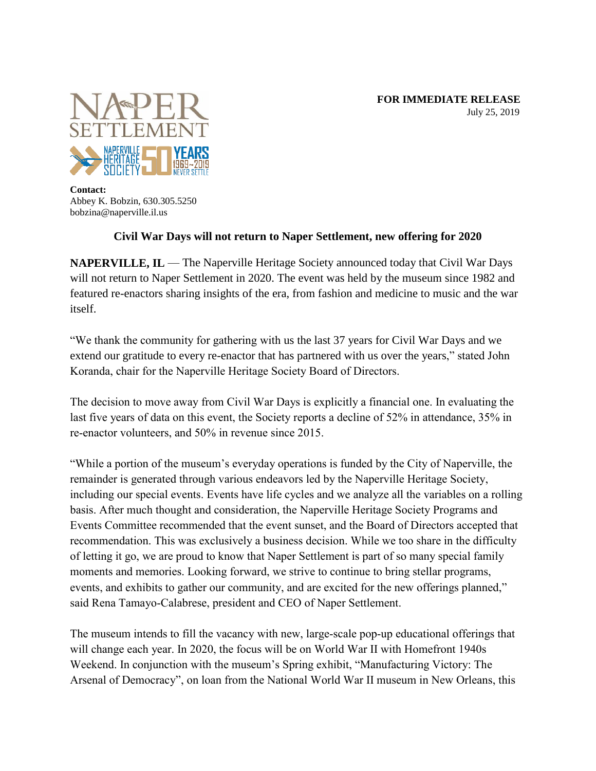**FOR IMMEDIATE RELEASE** July 25, 2019



**Contact:** Abbey K. Bobzin, 630.305.5250 bobzina@naperville.il.us

## **Civil War Days will not return to Naper Settlement, new offering for 2020**

**NAPERVILLE, IL** — The Naperville Heritage Society announced today that Civil War Days will not return to Naper Settlement in 2020. The event was held by the museum since 1982 and featured re-enactors sharing insights of the era, from fashion and medicine to music and the war itself.

"We thank the community for gathering with us the last 37 years for Civil War Days and we extend our gratitude to every re-enactor that has partnered with us over the years," stated John Koranda, chair for the Naperville Heritage Society Board of Directors.

The decision to move away from Civil War Days is explicitly a financial one. In evaluating the last five years of data on this event, the Society reports a decline of 52% in attendance, 35% in re-enactor volunteers, and 50% in revenue since 2015.

"While a portion of the museum's everyday operations is funded by the City of Naperville, the remainder is generated through various endeavors led by the Naperville Heritage Society, including our special events. Events have life cycles and we analyze all the variables on a rolling basis. After much thought and consideration, the Naperville Heritage Society Programs and Events Committee recommended that the event sunset, and the Board of Directors accepted that recommendation. This was exclusively a business decision. While we too share in the difficulty of letting it go, we are proud to know that Naper Settlement is part of so many special family moments and memories. Looking forward, we strive to continue to bring stellar programs, events, and exhibits to gather our community, and are excited for the new offerings planned," said Rena Tamayo-Calabrese, president and CEO of Naper Settlement.

The museum intends to fill the vacancy with new, large-scale pop-up educational offerings that will change each year. In 2020, the focus will be on World War II with Homefront 1940s Weekend. In conjunction with the museum's Spring exhibit, "Manufacturing Victory: The Arsenal of Democracy", on loan from the National World War II museum in New Orleans, this